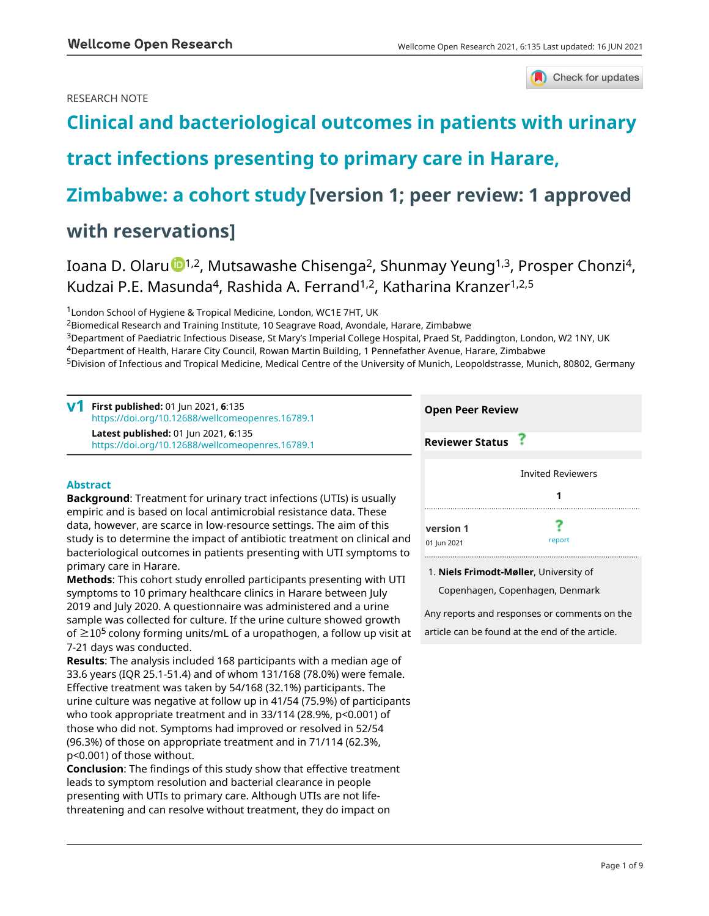## RESEARCH NOTE



# **[Clinical and bacteriological outcomes in patients with urinary](https://wellcomeopenresearch.org/articles/6-135/v1)**

# **[tract infections presenting to primary care in Harare,](https://wellcomeopenresearch.org/articles/6-135/v1)**

# **[Zimbabwe: a cohort study](https://wellcomeopenresearch.org/articles/6-135/v1) [version 1; peer review: 1 approved**

## **with reservations]**

Ioana D. Olar[u](https://orcid.org/0000-0003-3392-9257) <sup>1,2</sup>, Mutsawashe Chisenga<sup>2</sup>, Shunmay Yeung<sup>1,3</sup>, Prosper Chonzi<sup>4</sup>, Kudzai P.E. Masunda<sup>4</sup>, Rashida A. Ferrand<sup>1,2</sup>, Katharina Kranzer<sup>1,2,5</sup>

<sup>1</sup> London School of Hygiene & Tropical Medicine, London, WC1E 7HT, UK

<sup>2</sup>Biomedical Research and Training Institute, 10 Seagrave Road, Avondale, Harare, Zimbabwe

<sup>3</sup>Department of Paediatric Infectious Disease, St Mary's Imperial College Hospital, Praed St, Paddington, London, W2 1NY, UK <sup>4</sup>Department of Health, Harare City Council, Rowan Martin Building, 1 Pennefather Avenue, Harare, Zimbabwe

<sup>5</sup>Division of Infectious and Tropical Medicine, Medical Centre of the University of Munich, Leopoldstrasse, Munich, 80802, Germany

| First published: 01 Jun 2021, 6:135<br>v1<br>https://doi.org/10.12688/wellcomeopenres.16789.1 | <b>Open Peer Review</b>  |  |
|-----------------------------------------------------------------------------------------------|--------------------------|--|
| Latest published: 01 Jun 2021, 6:135<br>https://doi.org/10.12688/wellcomeopenres.16789.1      | <b>Reviewer Status</b>   |  |
| <b>Abstract</b>                                                                               | <b>Invited Reviewers</b> |  |
| <b>Background:</b> Treatment for urinary tract infections (UTIs) is usually                   |                          |  |

empiric and is based on local antimicrobial resistance data. These data, however, are scarce in low-resource settings. The aim of this study is to determine the impact of antibiotic treatment on clinical and bacteriological outcomes in patients presenting with UTI symptoms to primary care in Harare.

**Methods**: This cohort study enrolled participants presenting with UTI symptoms to 10 primary healthcare clinics in Harare between July 2019 and July 2020. A questionnaire was administered and a urine sample was collected for culture. If the urine culture showed growth of  $\geq$ 10<sup>5</sup> colony forming units/mL of a uropathogen, a follow up visit at 7-21 days was conducted.

**Results**: The analysis included 168 participants with a median age of 33.6 years (IQR 25.1-51.4) and of whom 131/168 (78.0%) were female. Effective treatment was taken by 54/168 (32.1%) participants. The urine culture was negative at follow up in 41/54 (75.9%) of participants who took appropriate treatment and in 33/114 (28.9%, p<0.001) of those who did not. Symptoms had improved or resolved in 52/54 (96.3%) of those on appropriate treatment and in 71/114 (62.3%, p<0.001) of those without.

**Conclusion**: The findings of this study show that effective treatment leads to symptom resolution and bacterial clearance in people presenting with UTIs to primary care. Although UTIs are not lifethreatening and can resolve without treatment, they do impact on

| Open Peer Review       |                          |
|------------------------|--------------------------|
| <b>Reviewer Status</b> |                          |
|                        |                          |
|                        | <b>Invited Reviewers</b> |
|                        |                          |
|                        |                          |
| version 1              |                          |
| 01 Jun 2021            | report                   |

## **Niels Frimodt-Møller**, University of 1.

Copenhagen, Copenhagen, Denmark

Any reports and responses or comments on the article can be found at the end of the article.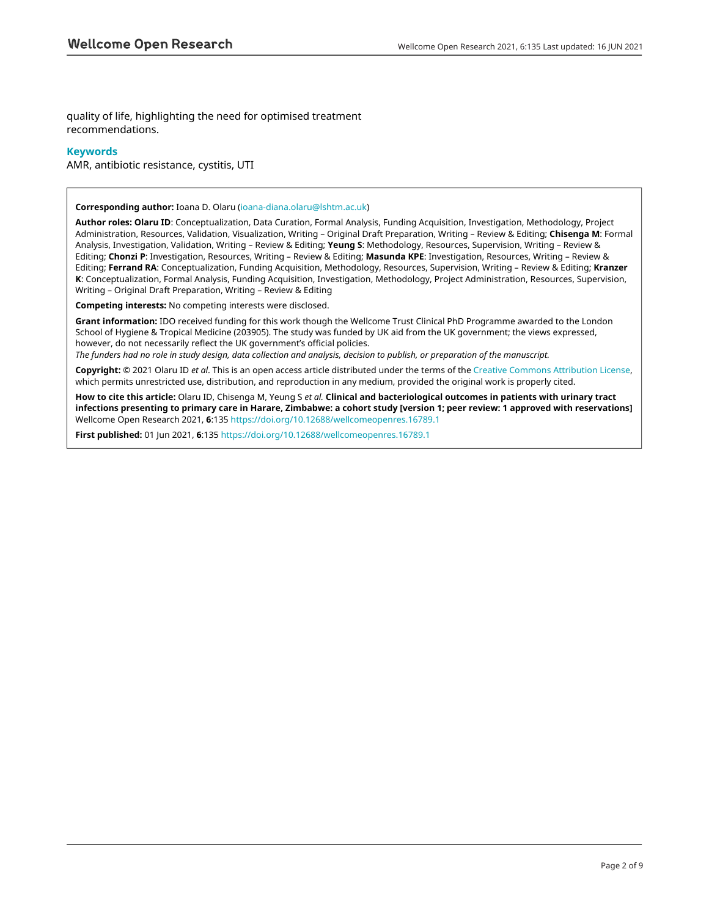quality of life, highlighting the need for optimised treatment recommendations.

### **Keywords**

AMR, antibiotic resistance, cystitis, UTI

#### **Corresponding author:** Ioana D. Olaru ([ioana-diana.olaru@lshtm.ac.uk\)](mailto:ioana-diana.olaru@lshtm.ac.uk)

**Author roles: Olaru ID**: Conceptualization, Data Curation, Formal Analysis, Funding Acquisition, Investigation, Methodology, Project Administration, Resources, Validation, Visualization, Writing – Original Draft Preparation, Writing – Review & Editing; **Chisenga M**: Formal Analysis, Investigation, Validation, Writing – Review & Editing; **Yeung S**: Methodology, Resources, Supervision, Writing – Review & Editing; **Chonzi P**: Investigation, Resources, Writing – Review & Editing; **Masunda KPE**: Investigation, Resources, Writing – Review & Editing; **Ferrand RA**: Conceptualization, Funding Acquisition, Methodology, Resources, Supervision, Writing – Review & Editing; **Kranzer K**: Conceptualization, Formal Analysis, Funding Acquisition, Investigation, Methodology, Project Administration, Resources, Supervision, Writing – Original Draft Preparation, Writing – Review & Editing

**Competing interests:** No competing interests were disclosed.

**Grant information:** IDO received funding for this work though the Wellcome Trust Clinical PhD Programme awarded to the London School of Hygiene & Tropical Medicine (203905). The study was funded by UK aid from the UK government; the views expressed, however, do not necessarily reflect the UK government's official policies.

*The funders had no role in study design, data collection and analysis, decision to publish, or preparation of the manuscript.*

**Copyright:** © 2021 Olaru ID *et al*. This is an open access article distributed under the terms of the [Creative Commons Attribution License](http://creativecommons.org/licenses/by/4.0/), which permits unrestricted use, distribution, and reproduction in any medium, provided the original work is properly cited.

**How to cite this article:** Olaru ID, Chisenga M, Yeung S *et al.* **Clinical and bacteriological outcomes in patients with urinary tract infections presenting to primary care in Harare, Zimbabwe: a cohort study [version 1; peer review: 1 approved with reservations]** Wellcome Open Research 2021, **6**:135<https://doi.org/10.12688/wellcomeopenres.16789.1>

**First published:** 01 Jun 2021, **6**:135 <https://doi.org/10.12688/wellcomeopenres.16789.1>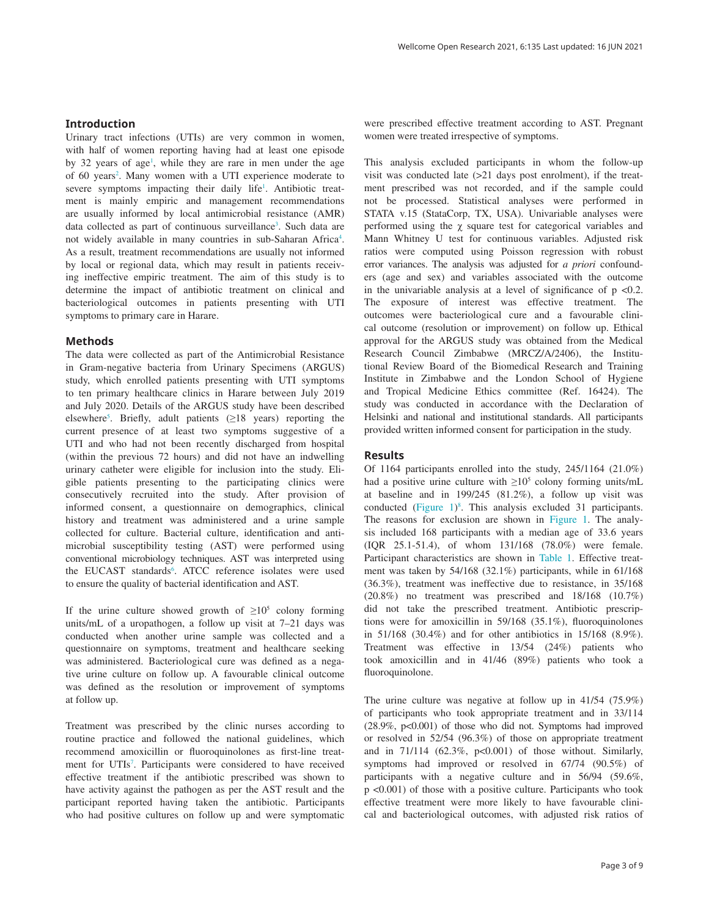### **Introduction**

Urinary tract infections (UTIs) are very common in women, with half of women reporting having had at least one episode by 32 years of age<sup>[1](#page-5-0)</sup>, while they are rare in men under the age of 60 years<sup>[2](#page-5-0)</sup>. Many women with a UTI experience moderate to severe symptoms impacting their daily life<sup>[1](#page-5-0)</sup>. Antibiotic treatment is mainly empiric and management recommendations are usually informed by local antimicrobial resistance (AMR) data collected as part of continuous surveillance<sup>[3](#page-5-0)</sup>. Such data are not widely available in many countries in sub-Saharan Africa<sup>[4](#page-5-0)</sup>. As a result, treatment recommendations are usually not informed by local or regional data, which may result in patients receiving ineffective empiric treatment. The aim of this study is to determine the impact of antibiotic treatment on clinical and bacteriological outcomes in patients presenting with UTI symptoms to primary care in Harare.

#### **Methods**

The data were collected as part of the Antimicrobial Resistance in Gram-negative bacteria from Urinary Specimens (ARGUS) study, which enrolled patients presenting with UTI symptoms to ten primary healthcare clinics in Harare between July 2019 and July 2020. Details of the ARGUS study have been described elsewhere<sup>5</sup>. Briefly, adult patients  $(≥18$  years) reporting the current presence of at least two symptoms suggestive of a UTI and who had not been recently discharged from hospital (within the previous 72 hours) and did not have an indwelling urinary catheter were eligible for inclusion into the study. Eligible patients presenting to the participating clinics were consecutively recruited into the study. After provision of informed consent, a questionnaire on demographics, clinical history and treatment was administered and a urine sample collected for culture. Bacterial culture, identification and antimicrobial susceptibility testing (AST) were performed using conventional microbiology techniques. AST was interpreted using the EUCAST standards<sup>[6](#page-5-0)</sup>. ATCC reference isolates were used to ensure the quality of bacterial identification and AST.

If the urine culture showed growth of  $\geq 10^5$  colony forming units/mL of a uropathogen, a follow up visit at 7–21 days was conducted when another urine sample was collected and a questionnaire on symptoms, treatment and healthcare seeking was administered. Bacteriological cure was defined as a negative urine culture on follow up. A favourable clinical outcome was defined as the resolution or improvement of symptoms at follow up.

Treatment was prescribed by the clinic nurses according to routine practice and followed the national guidelines, which recommend amoxicillin or fluoroquinolones as first-line treat-ment for UTIs<sup>[7](#page-5-0)</sup>. Participants were considered to have received effective treatment if the antibiotic prescribed was shown to have activity against the pathogen as per the AST result and the participant reported having taken the antibiotic. Participants who had positive cultures on follow up and were symptomatic

were prescribed effective treatment according to AST. Pregnant women were treated irrespective of symptoms.

This analysis excluded participants in whom the follow-up visit was conducted late (>21 days post enrolment), if the treatment prescribed was not recorded, and if the sample could not be processed. Statistical analyses were performed in STATA v.15 (StataCorp, TX, USA). Univariable analyses were performed using the χ square test for categorical variables and Mann Whitney U test for continuous variables. Adjusted risk ratios were computed using Poisson regression with robust error variances. The analysis was adjusted for *a priori* confounders (age and sex) and variables associated with the outcome in the univariable analysis at a level of significance of  $p \le 0.2$ . The exposure of interest was effective treatment. The outcomes were bacteriological cure and a favourable clinical outcome (resolution or improvement) on follow up. Ethical approval for the ARGUS study was obtained from the Medical Research Council Zimbabwe (MRCZ/A/2406), the Institutional Review Board of the Biomedical Research and Training Institute in Zimbabwe and the London School of Hygiene and Tropical Medicine Ethics committee (Ref. 16424). The study was conducted in accordance with the Declaration of Helsinki and national and institutional standards. All participants provided written informed consent for participation in the study.

#### **Results**

Of 1164 participants enrolled into the study, 245/1164 (21.0%) had a positive urine culture with  $\geq 10^5$  colony forming units/mL at baseline and in 199/245 (81.2%), a follow up visit was conducted ([Figure 1\)](#page-3-0) [8](#page-6-0) . This analysis excluded 31 participants. The reasons for exclusion are shown in [Figure 1.](#page-3-0) The analysis included 168 participants with a median age of 33.6 years (IQR 25.1-51.4), of whom 131/168 (78.0%) were female. Participant characteristics are shown in [Table 1](#page-4-0). Effective treatment was taken by 54/168 (32.1%) participants, while in 61/168 (36.3%), treatment was ineffective due to resistance, in 35/168 (20.8%) no treatment was prescribed and 18/168 (10.7%) did not take the prescribed treatment. Antibiotic prescriptions were for amoxicillin in 59/168 (35.1%), fluoroquinolones in 51/168 (30.4%) and for other antibiotics in 15/168 (8.9%). Treatment was effective in 13/54 (24%) patients who took amoxicillin and in 41/46 (89%) patients who took a fluoroquinolone.

The urine culture was negative at follow up in 41/54 (75.9%) of participants who took appropriate treatment and in 33/114 (28.9%, p<0.001) of those who did not. Symptoms had improved or resolved in 52/54 (96.3%) of those on appropriate treatment and in  $71/114$   $(62.3\%, p<0.001)$  of those without. Similarly, symptoms had improved or resolved in 67/74 (90.5%) of participants with a negative culture and in 56/94 (59.6%, p <0.001) of those with a positive culture. Participants who took effective treatment were more likely to have favourable clinical and bacteriological outcomes, with adjusted risk ratios of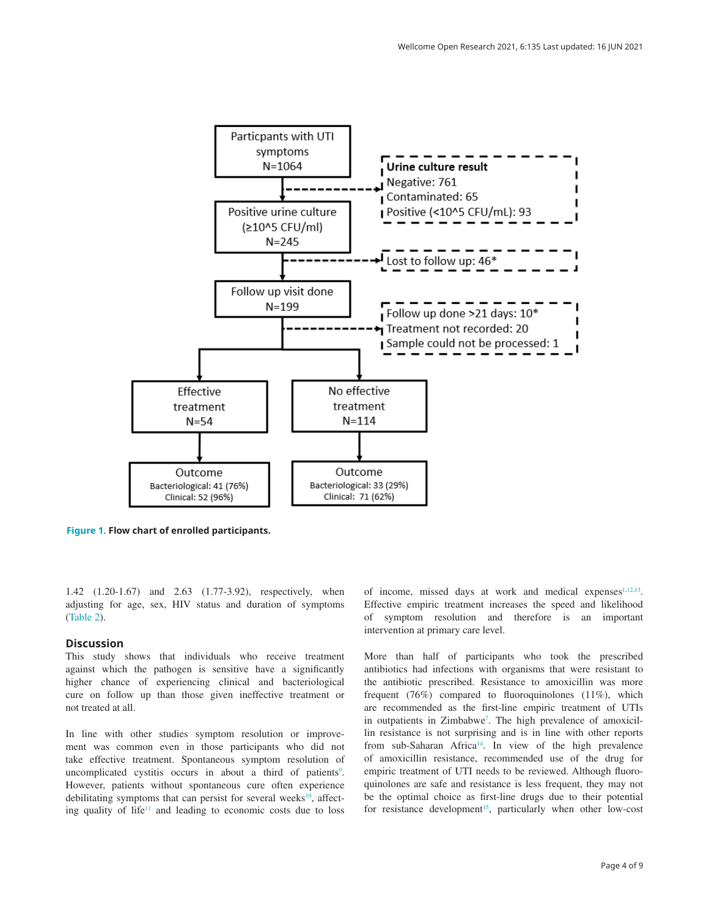<span id="page-3-0"></span>

**Figure 1. Flow chart of enrolled participants.**

1.42 (1.20-1.67) and 2.63 (1.77-3.92), respectively, when adjusting for age, sex, HIV status and duration of symptoms ([Table 2](#page-4-0)).

#### **Discussion**

This study shows that individuals who receive treatment against which the pathogen is sensitive have a significantly higher chance of experiencing clinical and bacteriological cure on follow up than those given ineffective treatment or not treated at all.

In line with other studies symptom resolution or improvement was common even in those participants who did not take effective treatment. Spontaneous symptom resolution of uncomplicated cystitis occurs in about a third of patients<sup>[9](#page-6-0)</sup>. However, patients without spontaneous cure often experience debilitating symptoms that can persist for several weeks $10$ , affecting quality of life<sup>11</sup> and leading to economic costs due to loss

of income, missed days at work and medical expenses $1,12,13$  $1,12,13$  $1,12,13$ . Effective empiric treatment increases the speed and likelihood of symptom resolution and therefore is an important intervention at primary care level.

More than half of participants who took the prescribed antibiotics had infections with organisms that were resistant to the antibiotic prescribed. Resistance to amoxicillin was more frequent (76%) compared to fluoroquinolones (11%), which are recommended as the first-line empiric treatment of UTIs in outpatients in Zimbabwe<sup>7</sup>. The high prevalence of amoxicillin resistance is not surprising and is in line with other reports from sub-Saharan Africa<sup>[14](#page-6-0)</sup>. In view of the high prevalence of amoxicillin resistance, recommended use of the drug for empiric treatment of UTI needs to be reviewed. Although fluoroquinolones are safe and resistance is less frequent, they may not be the optimal choice as first-line drugs due to their potential for resistance development<sup>15</sup>, particularly when other low-cost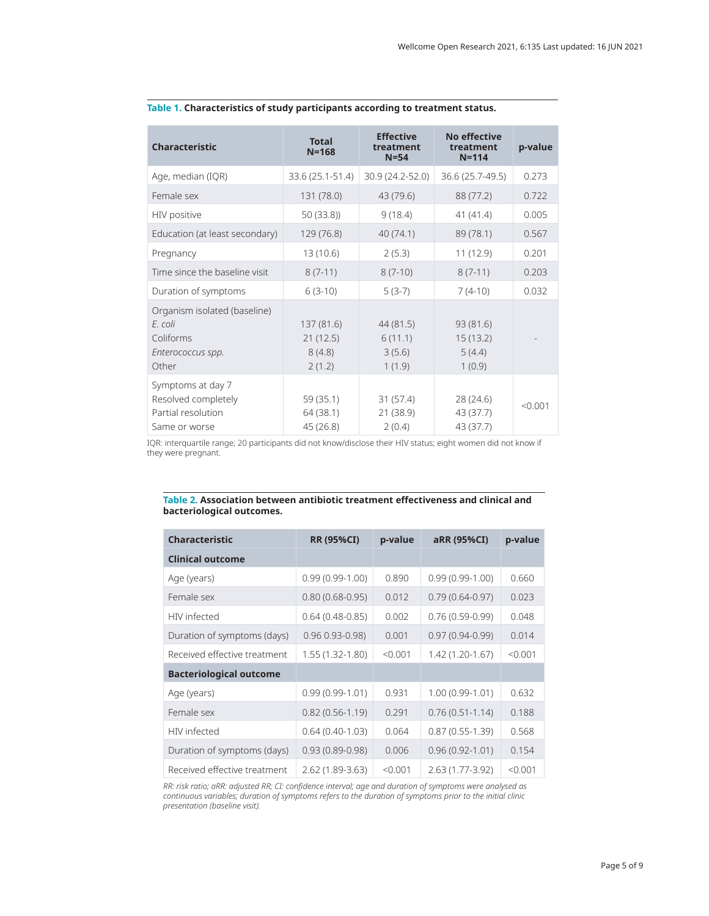| <b>Characteristic</b>                                                              | <b>Total</b><br>$N = 168$                  | <b>Effective</b><br>treatment<br>$N = 54$ | No effective<br>treatment<br>$N = 114$    | p-value |
|------------------------------------------------------------------------------------|--------------------------------------------|-------------------------------------------|-------------------------------------------|---------|
| Age, median (IQR)                                                                  | 33.6 (25.1-51.4)                           | 30.9 (24.2-52.0)                          | 36.6 (25.7-49.5)                          | 0.273   |
| Female sex                                                                         | 131 (78.0)                                 | 43 (79.6)                                 | 88 (77.2)                                 | 0.722   |
| HIV positive                                                                       | 50(33.8)                                   | 9(18.4)                                   | 41(41.4)                                  | 0.005   |
| Education (at least secondary)                                                     | 129 (76.8)                                 | 40(74.1)                                  | 89 (78.1)                                 | 0.567   |
| Pregnancy                                                                          | 13 (10.6)                                  | 2(5.3)                                    | 11 (12.9)                                 | 0.201   |
| Time since the baseline visit                                                      | $8(7-11)$                                  | $8(7-10)$                                 | $8(7-11)$                                 | 0.203   |
| Duration of symptoms                                                               | $6(3-10)$                                  | $5(3-7)$                                  | $7(4-10)$                                 | 0.032   |
| Organism isolated (baseline)<br>F. coli<br>Coliforms<br>Enterococcus spp.<br>Other | 137 (81.6)<br>21(12.5)<br>8(4.8)<br>2(1.2) | 44 (81.5)<br>6(11.1)<br>3(5.6)<br>1(1.9)  | 93 (81.6)<br>15(13.2)<br>5(4.4)<br>1(0.9) |         |
| Symptoms at day 7<br>Resolved completely<br>Partial resolution<br>Same or worse    | 59 (35.1)<br>64 (38.1)<br>45 (26.8)        | 31(57.4)<br>21 (38.9)<br>2(0.4)           | 28 (24.6)<br>43 (37.7)<br>43 (37.7)       | < 0.001 |

## <span id="page-4-0"></span>**Table 1. Characteristics of study participants according to treatment status.**

IQR: interquartile range; 20 participants did not know/disclose their HIV status; eight women did not know if they were pregnant.

#### **Table 2. Association between antibiotic treatment effectiveness and clinical and bacteriological outcomes.**

| <b>Characteristic</b>          | <b>RR (95%CI)</b>   | p-value | aRR (95%CI)         | p-value |
|--------------------------------|---------------------|---------|---------------------|---------|
| <b>Clinical outcome</b>        |                     |         |                     |         |
| Age (years)                    | $0.99(0.99-1.00)$   | 0.890   | $0.99(0.99-1.00)$   | 0.660   |
| Female sex                     | $0.80(0.68 - 0.95)$ | 0.012   | $0.79(0.64 - 0.97)$ | 0.023   |
| HIV infected                   | $0.64(0.48-0.85)$   | 0.002   | $0.76(0.59-0.99)$   | 0.048   |
| Duration of symptoms (days)    | $0.96 0.93 - 0.98$  | 0.001   | $0.97(0.94 - 0.99)$ | 0.014   |
| Received effective treatment   | 1.55 (1.32-1.80)    | < 0.001 | 1.42 (1.20-1.67)    | < 0.001 |
| <b>Bacteriological outcome</b> |                     |         |                     |         |
| Age (years)                    | $0.99(0.99-1.01)$   | 0.931   | 1.00 (0.99-1.01)    | 0.632   |
| Female sex                     | $0.82(0.56 - 1.19)$ | 0.291   | $0.76(0.51 - 1.14)$ | 0.188   |
| HIV infected                   | $0.64(0.40-1.03)$   | 0.064   | $0.87(0.55-1.39)$   | 0.568   |
| Duration of symptoms (days)    | $0.93(0.89 - 0.98)$ | 0.006   | $0.96(0.92 - 1.01)$ | 0.154   |
| Received effective treatment   | 2.62 (1.89-3.63)    | < 0.001 | 2.63 (1.77-3.92)    | < 0.001 |

*RR: risk ratio; aRR: adjusted RR; CI: confidence interval; age and duration of symptoms were analysed as continuous variables; duration of symptoms refers to the duration of symptoms prior to the initial clinic presentation (baseline visit).*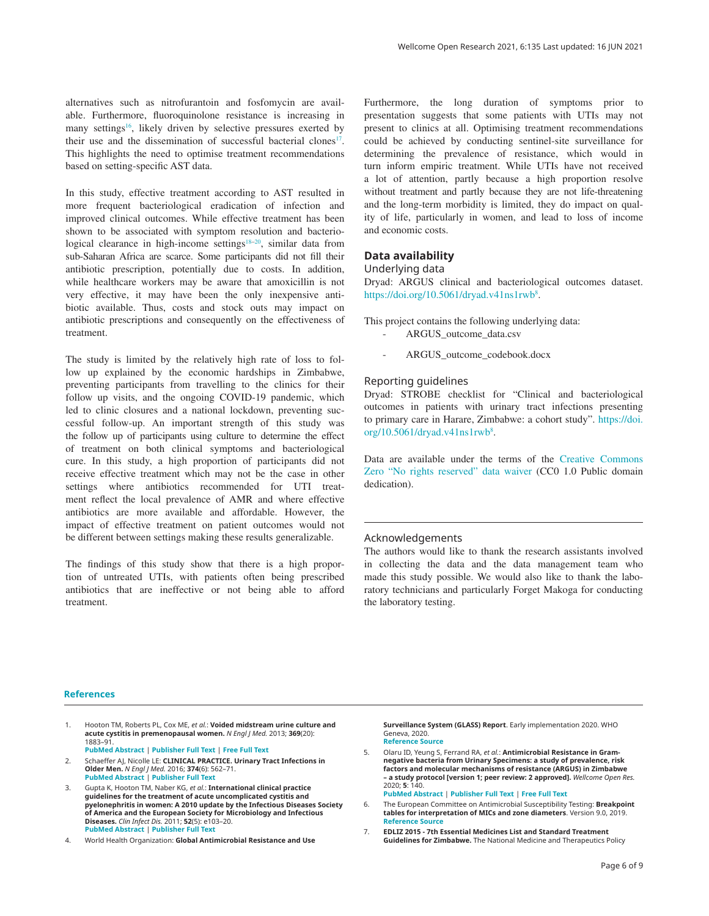<span id="page-5-0"></span>alternatives such as nitrofurantoin and fosfomycin are available. Furthermore, fluoroquinolone resistance is increasing in many settings<sup>16</sup>, likely driven by selective pressures exerted by their use and the dissemination of successful bacterial clones<sup>17</sup>. This highlights the need to optimise treatment recommendations based on setting-specific AST data.

In this study, effective treatment according to AST resulted in more frequent bacteriological eradication of infection and improved clinical outcomes. While effective treatment has been shown to be associated with symptom resolution and bacteriological clearance in high-income settings<sup>18–20</sup>, similar data from sub-Saharan Africa are scarce. Some participants did not fill their antibiotic prescription, potentially due to costs. In addition, while healthcare workers may be aware that amoxicillin is not very effective, it may have been the only inexpensive antibiotic available. Thus, costs and stock outs may impact on antibiotic prescriptions and consequently on the effectiveness of treatment.

The study is limited by the relatively high rate of loss to follow up explained by the economic hardships in Zimbabwe, preventing participants from travelling to the clinics for their follow up visits, and the ongoing COVID-19 pandemic, which led to clinic closures and a national lockdown, preventing successful follow-up. An important strength of this study was the follow up of participants using culture to determine the effect of treatment on both clinical symptoms and bacteriological cure. In this study, a high proportion of participants did not receive effective treatment which may not be the case in other settings where antibiotics recommended for UTI treatment reflect the local prevalence of AMR and where effective antibiotics are more available and affordable. However, the impact of effective treatment on patient outcomes would not be different between settings making these results generalizable.

The findings of this study show that there is a high proportion of untreated UTIs, with patients often being prescribed antibiotics that are ineffective or not being able to afford treatment.

Furthermore, the long duration of symptoms prior to presentation suggests that some patients with UTIs may not present to clinics at all. Optimising treatment recommendations could be achieved by conducting sentinel-site surveillance for determining the prevalence of resistance, which would in turn inform empiric treatment. While UTIs have not received a lot of attention, partly because a high proportion resolve without treatment and partly because they are not life-threatening and the long-term morbidity is limited, they do impact on quality of life, particularly in women, and lead to loss of income and economic costs.

## **Data availability**

## Underlying data

Dryad: ARGUS clinical and bacteriological outcomes dataset. <https://doi.org/10.5061/dryad.v41ns1rwb><sup>[8](#page-6-0)</sup>.

This project contains the following underlying data:

- ARGUS\_outcome\_data.csv
- ARGUS\_outcome\_codebook.docx

## Reporting guidelines

Dryad: STROBE checklist for "Clinical and bacteriological outcomes in patients with urinary tract infections presenting to primary care in Harare, Zimbabwe: a cohort study". [https://doi.](https://doi.org/10.5061/dryad.v41ns1rwb) [org/10.5061/dryad.v41ns1rwb](https://doi.org/10.5061/dryad.v41ns1rwb)<sup>[8](#page-6-0)</sup>.

Data are available under the terms of the [Creative Commons](https://creativecommons.org/publicdomain/zero/1.0/)  [Zero "No rights reserved" data waiver](https://creativecommons.org/publicdomain/zero/1.0/) (CC0 1.0 Public domain dedication).

## Acknowledgements

The authors would like to thank the research assistants involved in collecting the data and the data management team who made this study possible. We would also like to thank the laboratory technicians and particularly Forget Makoga for conducting the laboratory testing.

## **References**

- 1. Hooton TM, Roberts PL, Cox ME, *et al.*: **Voided midstream urine culture and acute cystitis in premenopausal women.** *N Engl J Med.* 2013; **369**(20): 1883–91.
- **[PubMed Abstract](http://www.ncbi.nlm.nih.gov/pubmed/24224622)** | **[Publisher Full Text](http://dx.doi.org/10.1056/NEJMoa1302186)** | **[Free Full Text](http://www.ncbi.nlm.nih.gov/pmc/articles/4041367)**
- 2. Schaeffer AJ, Nicolle LE: **CLINICAL PRACTICE. Urinary Tract Infections in Older Men.** *N Engl J Med.* 2016; **374**(6): 562–71. **[PubMed Abstract](http://www.ncbi.nlm.nih.gov/pubmed/26863357)** | **[Publisher Full Text](http://dx.doi.org/10.1056/NEJMcp1503950)**
- 3. Gupta K, Hooton TM, Naber KG, *et al.*: **International clinical practice guidelines for the treatment of acute uncomplicated cystitis and pyelonephritis in women: A 2010 update by the Infectious Diseases Society of America and the European Society for Microbiology and Infectious Diseases.** *Clin Infect Dis.* 2011; **52**(5): e103–20. **[PubMed Abstract](http://www.ncbi.nlm.nih.gov/pubmed/21292654)** | **[Publisher Full Text](http://dx.doi.org/10.1093/cid/ciq257)**
- 4. World Health Organization: **Global Antimicrobial Resistance and Use**

**Surveillance System (GLASS) Report**. Early implementation 2020. WHO Geneva, 2020. **[Reference Source](https://www.who.int/glass/resources/publications/early-implementation-report-2020/en/)**

- 5. Olaru ID, Yeung S, Ferrand RA, *et al.*: **Antimicrobial Resistance in Gramnegative bacteria from Urinary Specimens: a study of prevalence, risk factors and molecular mechanisms of resistance (ARGUS) in Zimbabwe – a study protocol [version 1; peer review: 2 approved].** *Wellcome Open Res.* 2020; **5**: 140. **[PubMed Abstract](http://www.ncbi.nlm.nih.gov/pubmed/33088923)** | **[Publisher Full Text](http://dx.doi.org/10.12688/wellcomeopenres.15977.1)** | **[Free Full Text](http://www.ncbi.nlm.nih.gov/pmc/articles/7551514)**
- 6. The European Committee on Antimicrobial Susceptibility Testing: **Breakpoint tables for interpretation of MICs and zone diameters**. Version 9.0, 2019. **[Reference Source](http://www.eucast.org)**
- 7. **EDLIZ 2015 7th Essential Medicines List and Standard Treatment Guidelines for Zimbabwe.** The National Medicine and Therapeutics Policy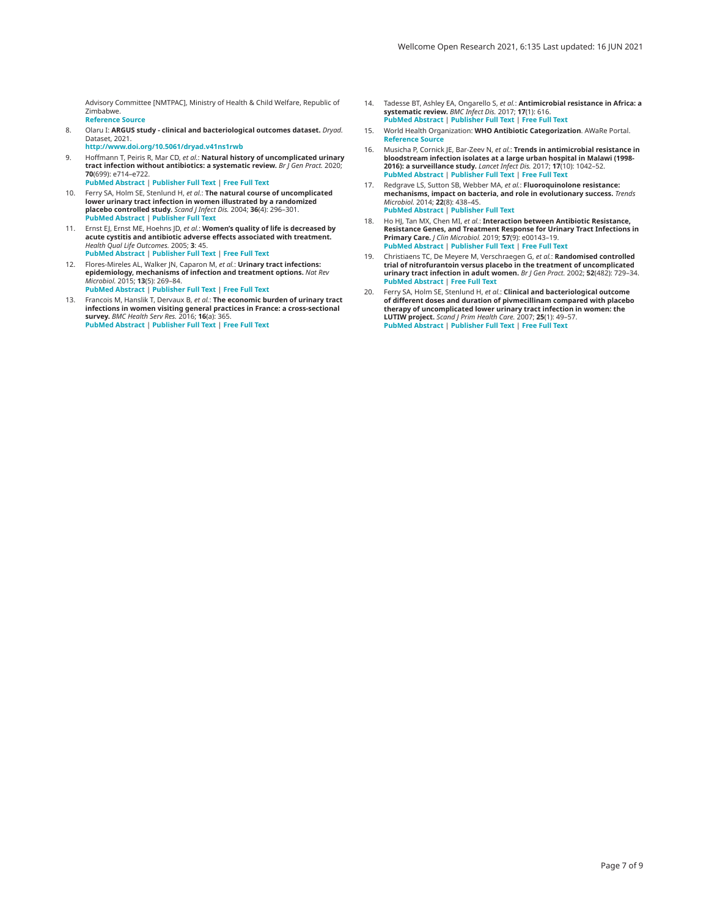<span id="page-6-0"></span>Advisory Committee [NMTPAC], Ministry of Health & Child Welfare, Republic of Zimbabwe. **[Reference Source](https://books.google.co.in/books/about/EDLIZ_2015.html?id=yFaOswEACAAJ&redir_esc=y)**

- 8. Olaru I: **ARGUS study clinical and bacteriological outcomes dataset.** *Dryad.* Dataset, 2021. **[http://www.doi.org/10.5061/dryad.v41ns1rw](http://www.doi.org/10.5061/dryad.v41ns1rwb)b**
- 9. Hoffmann T, Peiris R, Mar CD, *et al.*: **Natural history of uncomplicated urinary tract infection without antibiotics: a systematic review.** *Br J Gen Pract.* 2020; **70**(699): e714–e722. **[PubMed Abstract](http://www.ncbi.nlm.nih.gov/pubmed/32958533)** | **[Publisher Full Text](http://dx.doi.org/10.3399/bjgp20X712781)** | **[Free Full Text](http://www.ncbi.nlm.nih.gov/pmc/articles/7510849)**
- 10. Ferry SA, Holm SE, Stenlund H, *et al.*: **The natural course of uncomplicated lower urinary tract infection in women illustrated by a randomized placebo controlled study.** *Scand J Infect Dis.* 2004; **36**(4): 296–301. **[PubMed Abstract](http://www.ncbi.nlm.nih.gov/pubmed/15198188)** | **[Publisher Full Text](http://dx.doi.org/10.1080/00365540410019642)**
- 11. Ernst EJ, Ernst ME, Hoehns JD, *et al.*: **Women's quality of life is decreased by acute cystitis and antibiotic adverse effects associated with treatment.** *Health Qual Life Outcomes.* 2005; **3**: 45. **[PubMed Abstract](http://www.ncbi.nlm.nih.gov/pubmed/16048650)** | **[Publisher Full Text](http://dx.doi.org/10.1186/1477-7525-3-45)** | **[Free Full Text](http://www.ncbi.nlm.nih.gov/pmc/articles/1183236)**
- 12. Flores-Mireles AL, Walker JN, Caparon M, *et al.*: **Urinary tract infections: epidemiology, mechanisms of infection and treatment options.** *Nat Rev Microbiol.* 2015; **13**(5): 269–84.
- **[PubMed Abstract](http://www.ncbi.nlm.nih.gov/pubmed/25853778)** | **[Publisher Full Text](http://dx.doi.org/10.1038/nrmicro3432)** | **[Free Full Text](http://www.ncbi.nlm.nih.gov/pmc/articles/4457377)**
- 13. Francois M, Hanslik T, Dervaux B, *et al.*: **The economic burden of urinary tract infections in women visiting general practices in France: a cross-sectional survey.** *BMC Health Serv Res.* 2016; **16**(a): 365. **[PubMed Abstract](http://www.ncbi.nlm.nih.gov/pubmed/27507292)** | **[Publisher Full Text](http://dx.doi.org/10.1186/s12913-016-1620-2)** | **[Free Full Text](http://www.ncbi.nlm.nih.gov/pmc/articles/4977873)**
- 14. Tadesse BT, Ashley EA, Ongarello S, *et al.*: **Antimicrobial resistance in Africa: a systematic review.** *BMC Infect Dis.* 2017; **17**(1): 616. **[PubMed Abstract](http://www.ncbi.nlm.nih.gov/pubmed/28893183)** | **[Publisher Full Text](http://dx.doi.org/10.1186/s12879-017-2713-1)** | **[Free Full Text](http://www.ncbi.nlm.nih.gov/pmc/articles/5594539)**
- 15. World Health Organization: **WHO Antibiotic Categorization**. AWaRe Portal. **[Reference Source](https://aware.essentialmeds.org/groups)**
- 16. Musicha P, Cornick JE, Bar-Zeev N, *et al.*: **Trends in antimicrobial resistance in bloodstream infection isolates at a large urban hospital in Malawi (1998- 2016): a surveillance study.** *Lancet Infect Dis.* 2017; **17**(10): 1042–52. **[PubMed Abstract](http://www.ncbi.nlm.nih.gov/pubmed/28818544)** | **[Publisher Full Text](http://dx.doi.org/10.1016/S1473-3099(17)30394-8)** | **[Free Full Text](http://www.ncbi.nlm.nih.gov/pmc/articles/5610140)**
- 17. Redgrave LS, Sutton SB, Webber MA, *et al.*: **Fluoroquinolone resistance: mechanisms, impact on bacteria, and role in evolutionary success.** *Trends Microbiol.* 2014; **22**(8): 438–45. **[PubMed Abstract](http://www.ncbi.nlm.nih.gov/pubmed/24842194)** | **[Publisher Full Text](http://dx.doi.org/10.1016/j.tim.2014.04.007)**
- 18. Ho HJ, Tan MX, Chen MI, *et al.*: **Interaction between Antibiotic Resistance, Resistance Genes, and Treatment Response for Urinary Tract Infections in Primary Care.** *J Clin Microbiol.* 2019; **57**(9): e00143–19. **[PubMed Abstract](http://www.ncbi.nlm.nih.gov/pubmed/31243084)** | **[Publisher Full Text](http://dx.doi.org/10.1128/JCM.00143-19)** | **[Free Full Text](http://www.ncbi.nlm.nih.gov/pmc/articles/6711900)**
- 19. Christiaens TC, De Meyere M, Verschraegen G, *et al.*: **Randomised controlled trial of nitrofurantoin versus placebo in the treatment of uncomplicated urinary tract infection in adult women.** *Br J Gen Pract.* 2002; **52**(482): 729–34. **[PubMed Abstract](http://www.ncbi.nlm.nih.gov/pubmed/12236276)** | **[Free Full Text](http://www.ncbi.nlm.nih.gov/pmc/articles/1314413)**
- 20. Ferry SA, Holm SE, Stenlund H, *et al.*: **Clinical and bacteriological outcome of different doses and duration of pivmecillinam compared with placebo therapy of uncomplicated lower urinary tract infection in women: the LUTIW project.** *Scand J Prim Health Care.* 2007; **25**(1): 49–57. **[PubMed Abstract](http://www.ncbi.nlm.nih.gov/pubmed/17354160)** | **[Publisher Full Text](http://dx.doi.org/10.1080/02813430601183074)** | **[Free Full Text](http://www.ncbi.nlm.nih.gov/pmc/articles/3389454)**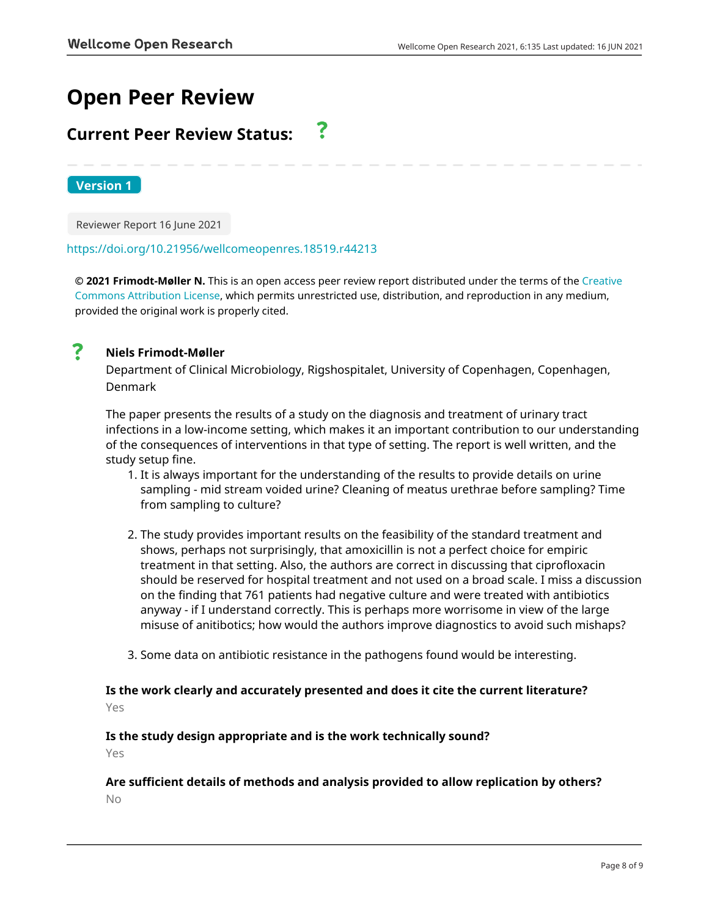# **Open Peer Review**

#### **Current Peer Review Status:** <u>?</u>

**Version 1**

Reviewer Report 16 June 2021

## <https://doi.org/10.21956/wellcomeopenres.18519.r44213>

**© 2021 Frimodt-Møller N.** This is an open access peer review report distributed under the terms of the [Creative](https://creativecommons.org/licenses/by/4.0/) [Commons Attribution License](https://creativecommons.org/licenses/by/4.0/), which permits unrestricted use, distribution, and reproduction in any medium, provided the original work is properly cited.



## **Niels Frimodt-Møller**

Department of Clinical Microbiology, Rigshospitalet, University of Copenhagen, Copenhagen, Denmark

The paper presents the results of a study on the diagnosis and treatment of urinary tract infections in a low-income setting, which makes it an important contribution to our understanding of the consequences of interventions in that type of setting. The report is well written, and the study setup fine.

- 1. It is always important for the understanding of the results to provide details on urine sampling - mid stream voided urine? Cleaning of meatus urethrae before sampling? Time from sampling to culture?
- 2. The study provides important results on the feasibility of the standard treatment and shows, perhaps not surprisingly, that amoxicillin is not a perfect choice for empiric treatment in that setting. Also, the authors are correct in discussing that ciprofloxacin should be reserved for hospital treatment and not used on a broad scale. I miss a discussion on the finding that 761 patients had negative culture and were treated with antibiotics anyway - if I understand correctly. This is perhaps more worrisome in view of the large misuse of anitibotics; how would the authors improve diagnostics to avoid such mishaps?
- 3. Some data on antibiotic resistance in the pathogens found would be interesting.

## **Is the work clearly and accurately presented and does it cite the current literature?**

Yes

## **Is the study design appropriate and is the work technically sound?**

Yes

# **Are sufficient details of methods and analysis provided to allow replication by others?**

No